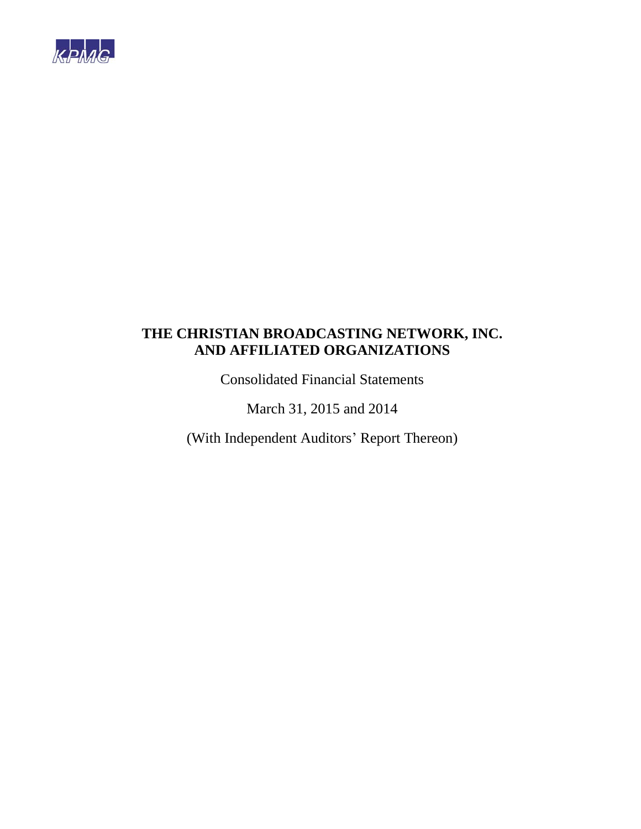

Consolidated Financial Statements

March 31, 2015 and 2014

(With Independent Auditors' Report Thereon)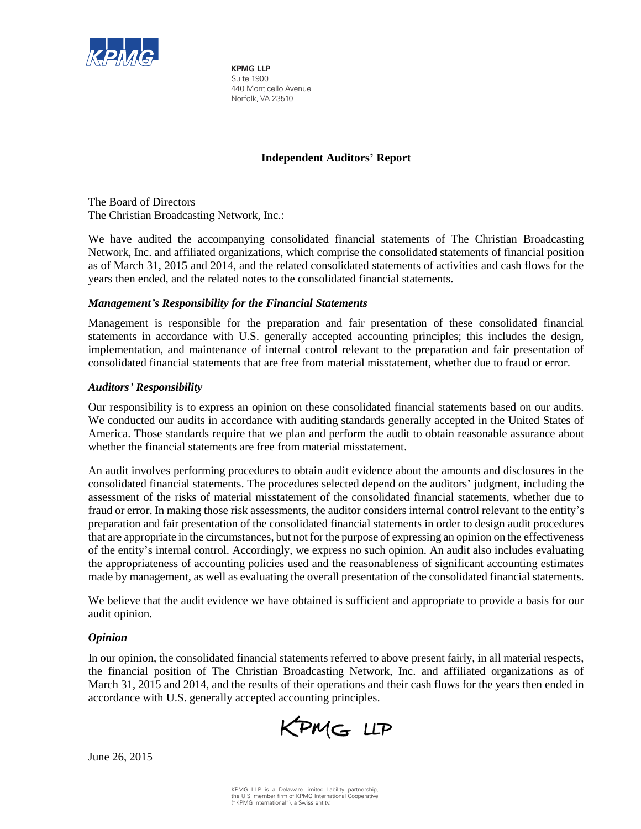

**KPMG LLP** Suite 1900 440 Monticello Avenue Norfolk, VA 23510

# **Independent Auditors' Report**

The Board of Directors The Christian Broadcasting Network, Inc.:

We have audited the accompanying consolidated financial statements of The Christian Broadcasting Network, Inc. and affiliated organizations, which comprise the consolidated statements of financial position as of March 31, 2015 and 2014, and the related consolidated statements of activities and cash flows for the years then ended, and the related notes to the consolidated financial statements.

# *Management's Responsibility for the Financial Statements*

Management is responsible for the preparation and fair presentation of these consolidated financial statements in accordance with U.S. generally accepted accounting principles; this includes the design, implementation, and maintenance of internal control relevant to the preparation and fair presentation of consolidated financial statements that are free from material misstatement, whether due to fraud or error.

# *Auditors' Responsibility*

Our responsibility is to express an opinion on these consolidated financial statements based on our audits. We conducted our audits in accordance with auditing standards generally accepted in the United States of America. Those standards require that we plan and perform the audit to obtain reasonable assurance about whether the financial statements are free from material misstatement.

An audit involves performing procedures to obtain audit evidence about the amounts and disclosures in the consolidated financial statements. The procedures selected depend on the auditors' judgment, including the assessment of the risks of material misstatement of the consolidated financial statements, whether due to fraud or error. In making those risk assessments, the auditor considers internal control relevant to the entity's preparation and fair presentation of the consolidated financial statements in order to design audit procedures that are appropriate in the circumstances, but not for the purpose of expressing an opinion on the effectiveness of the entity's internal control. Accordingly, we express no such opinion. An audit also includes evaluating the appropriateness of accounting policies used and the reasonableness of significant accounting estimates made by management, as well as evaluating the overall presentation of the consolidated financial statements.

We believe that the audit evidence we have obtained is sufficient and appropriate to provide a basis for our audit opinion.

# *Opinion*

In our opinion, the consolidated financial statements referred to above present fairly, in all material respects, the financial position of The Christian Broadcasting Network, Inc. and affiliated organizations as of March 31, 2015 and 2014, and the results of their operations and their cash flows for the years then ended in accordance with U.S. generally accepted accounting principles.

KPMG LLP

June 26, 2015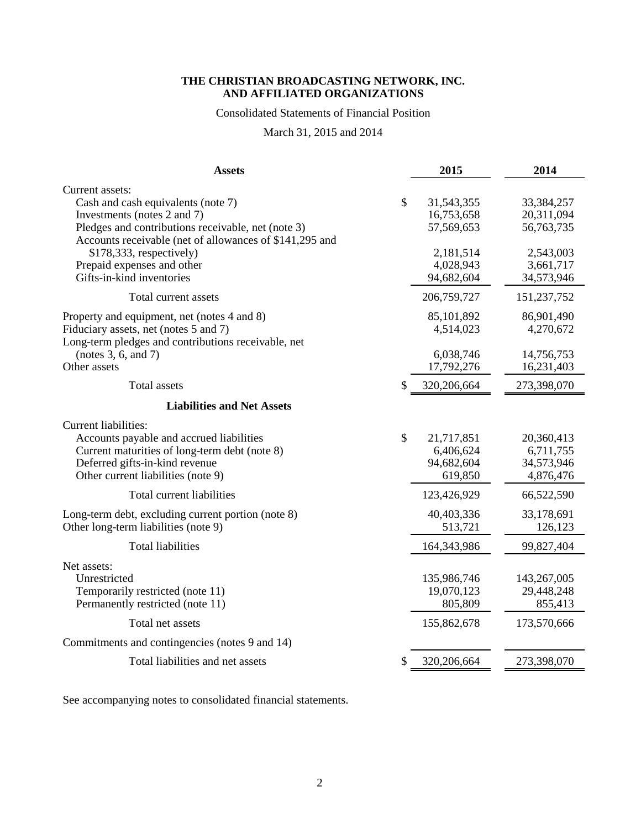# Consolidated Statements of Financial Position

March 31, 2015 and 2014

| <b>Assets</b>                                           | 2015              | 2014         |
|---------------------------------------------------------|-------------------|--------------|
| Current assets:                                         |                   |              |
| Cash and cash equivalents (note 7)                      | \$<br>31,543,355  | 33, 384, 257 |
| Investments (notes 2 and 7)                             | 16,753,658        | 20,311,094   |
| Pledges and contributions receivable, net (note 3)      | 57,569,653        | 56,763,735   |
| Accounts receivable (net of allowances of \$141,295 and |                   |              |
| $$178,333$ , respectively)                              | 2,181,514         | 2,543,003    |
| Prepaid expenses and other                              | 4,028,943         | 3,661,717    |
| Gifts-in-kind inventories                               | 94,682,604        | 34,573,946   |
| Total current assets                                    | 206,759,727       | 151,237,752  |
| Property and equipment, net (notes 4 and 8)             | 85,101,892        | 86,901,490   |
| Fiduciary assets, net (notes 5 and 7)                   | 4,514,023         | 4,270,672    |
| Long-term pledges and contributions receivable, net     |                   |              |
| (notes $3, 6$ , and $7$ )                               | 6,038,746         | 14,756,753   |
| Other assets                                            | 17,792,276        | 16,231,403   |
| <b>Total assets</b>                                     | \$<br>320,206,664 | 273,398,070  |
| <b>Liabilities and Net Assets</b>                       |                   |              |
| <b>Current liabilities:</b>                             |                   |              |
| Accounts payable and accrued liabilities                | \$<br>21,717,851  | 20,360,413   |
| Current maturities of long-term debt (note 8)           | 6,406,624         | 6,711,755    |
| Deferred gifts-in-kind revenue                          | 94,682,604        | 34,573,946   |
| Other current liabilities (note 9)                      | 619,850           | 4,876,476    |
| Total current liabilities                               | 123,426,929       | 66,522,590   |
| Long-term debt, excluding current portion (note 8)      | 40,403,336        | 33,178,691   |
| Other long-term liabilities (note 9)                    | 513,721           | 126,123      |
| <b>Total liabilities</b>                                | 164,343,986       | 99,827,404   |
| Net assets:                                             |                   |              |
| Unrestricted                                            | 135,986,746       | 143,267,005  |
| Temporarily restricted (note 11)                        | 19,070,123        | 29,448,248   |
| Permanently restricted (note 11)                        | 805,809           | 855,413      |
| Total net assets                                        | 155,862,678       | 173,570,666  |
| Commitments and contingencies (notes 9 and 14)          |                   |              |
| Total liabilities and net assets                        | \$<br>320,206,664 | 273,398,070  |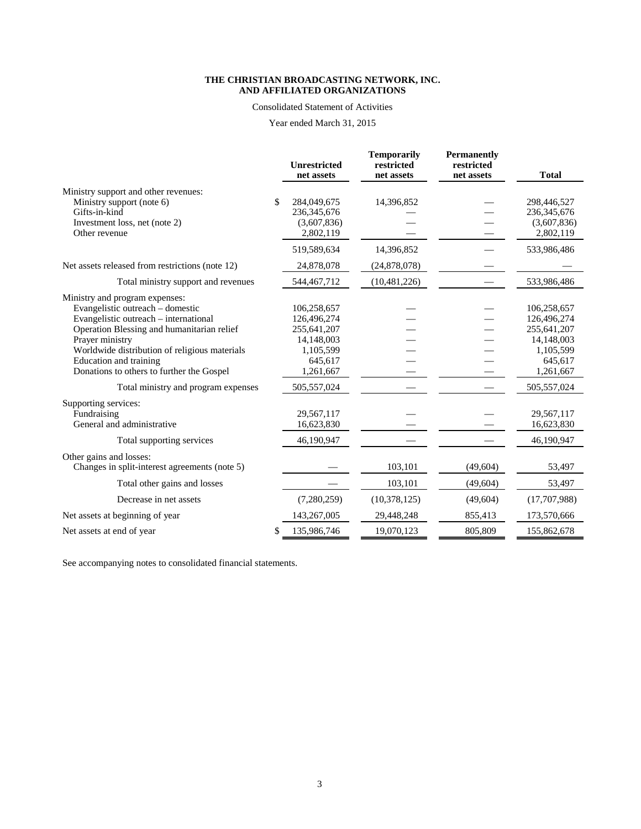#### Consolidated Statement of Activities

Year ended March 31, 2015

|                                                                                                                                                                                                                                                                                                                                             | <b>Unrestricted</b><br>net assets                                                                             | <b>Temporarily</b><br>restricted<br>net assets | <b>Permanently</b><br>restricted<br>net assets | <b>Total</b>                                                                                                |
|---------------------------------------------------------------------------------------------------------------------------------------------------------------------------------------------------------------------------------------------------------------------------------------------------------------------------------------------|---------------------------------------------------------------------------------------------------------------|------------------------------------------------|------------------------------------------------|-------------------------------------------------------------------------------------------------------------|
| Ministry support and other revenues:<br>Ministry support (note 6)<br>Gifts-in-kind<br>Investment loss, net (note 2)<br>Other revenue                                                                                                                                                                                                        | 284,049,675<br>236, 345, 676<br>(3,607,836)<br>2,802,119                                                      | 14,396,852                                     |                                                | 298,446,527<br>236, 345, 676<br>(3,607,836)<br>2,802,119                                                    |
|                                                                                                                                                                                                                                                                                                                                             | 519,589,634                                                                                                   | 14,396,852                                     |                                                | 533,986,486                                                                                                 |
| Net assets released from restrictions (note 12)                                                                                                                                                                                                                                                                                             | 24,878,078                                                                                                    | (24,878,078)                                   |                                                |                                                                                                             |
| Total ministry support and revenues                                                                                                                                                                                                                                                                                                         | 544,467,712                                                                                                   | (10, 481, 226)                                 |                                                | 533,986,486                                                                                                 |
| Ministry and program expenses:<br>Evangelistic outreach – domestic<br>Evangelistic outreach - international<br>Operation Blessing and humanitarian relief<br>Prayer ministry<br>Worldwide distribution of religious materials<br>Education and training<br>Donations to others to further the Gospel<br>Total ministry and program expenses | 106,258,657<br>126,496,274<br>255,641,207<br>14,148,003<br>1,105,599<br>645,617<br>1,261,667<br>505, 557, 024 |                                                |                                                | 106,258,657<br>126,496,274<br>255,641,207<br>14,148,003<br>1,105,599<br>645,617<br>1,261,667<br>505,557,024 |
| Supporting services:<br>Fundraising<br>General and administrative                                                                                                                                                                                                                                                                           | 29,567,117<br>16,623,830                                                                                      |                                                |                                                | 29,567,117<br>16,623,830                                                                                    |
| Total supporting services                                                                                                                                                                                                                                                                                                                   | 46,190,947                                                                                                    |                                                |                                                | 46,190,947                                                                                                  |
| Other gains and losses:<br>Changes in split-interest agreements (note 5)                                                                                                                                                                                                                                                                    |                                                                                                               | 103,101                                        | (49,604)                                       | 53,497                                                                                                      |
| Total other gains and losses                                                                                                                                                                                                                                                                                                                |                                                                                                               | 103,101                                        | (49,604)                                       | 53,497                                                                                                      |
| Decrease in net assets                                                                                                                                                                                                                                                                                                                      | (7, 280, 259)                                                                                                 | (10, 378, 125)                                 | (49,604)                                       | (17,707,988)                                                                                                |
| Net assets at beginning of year                                                                                                                                                                                                                                                                                                             | 143,267,005                                                                                                   | 29,448,248                                     | 855,413                                        | 173,570,666                                                                                                 |
| Net assets at end of year                                                                                                                                                                                                                                                                                                                   | \$<br>135,986,746                                                                                             | 19,070,123                                     | 805,809                                        | 155,862,678                                                                                                 |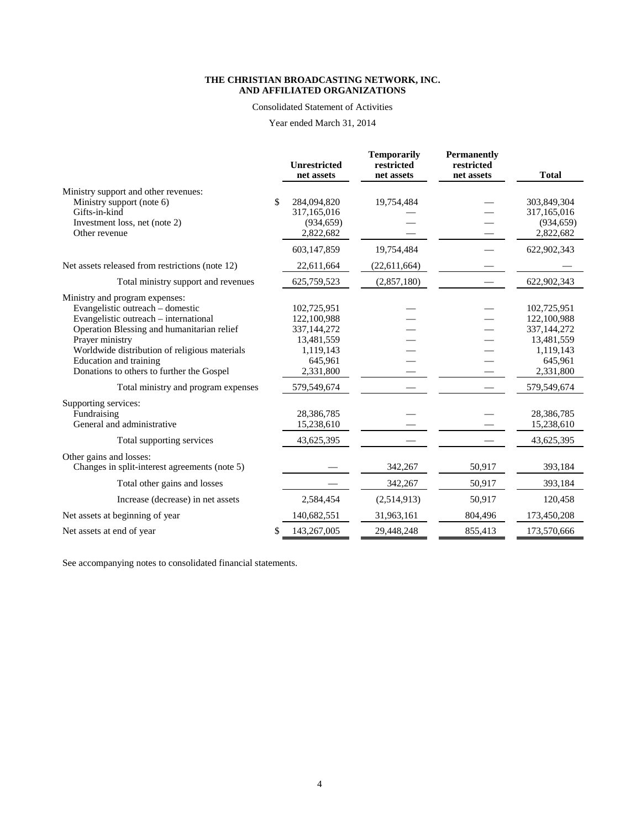#### Consolidated Statement of Activities

Year ended March 31, 2014

|                                                                                                                                                                                                                                                                                                                                             |    | <b>Unrestricted</b><br>net assets                                                                           | <b>Temporarily</b><br>restricted<br>net assets | <b>Permanently</b><br>restricted<br>net assets | <b>Total</b>                                                                                                    |
|---------------------------------------------------------------------------------------------------------------------------------------------------------------------------------------------------------------------------------------------------------------------------------------------------------------------------------------------|----|-------------------------------------------------------------------------------------------------------------|------------------------------------------------|------------------------------------------------|-----------------------------------------------------------------------------------------------------------------|
| Ministry support and other revenues:<br>Ministry support (note 6)<br>Gifts-in-kind<br>Investment loss, net (note 2)<br>Other revenue                                                                                                                                                                                                        | S. | 284,094,820<br>317,165,016<br>(934, 659)<br>2,822,682                                                       | 19,754,484                                     |                                                | 303,849,304<br>317,165,016<br>(934, 659)<br>2,822,682                                                           |
|                                                                                                                                                                                                                                                                                                                                             |    | 603,147,859                                                                                                 | 19,754,484                                     |                                                | 622,902,343                                                                                                     |
| Net assets released from restrictions (note 12)                                                                                                                                                                                                                                                                                             |    | 22,611,664                                                                                                  | (22,611,664)                                   |                                                |                                                                                                                 |
| Total ministry support and revenues                                                                                                                                                                                                                                                                                                         |    | 625,759,523                                                                                                 | (2,857,180)                                    |                                                | 622,902,343                                                                                                     |
| Ministry and program expenses:<br>Evangelistic outreach – domestic<br>Evangelistic outreach – international<br>Operation Blessing and humanitarian relief<br>Prayer ministry<br>Worldwide distribution of religious materials<br>Education and training<br>Donations to others to further the Gospel<br>Total ministry and program expenses |    | 102,725,951<br>122,100,988<br>337,144,272<br>13,481,559<br>1,119,143<br>645,961<br>2,331,800<br>579,549,674 |                                                |                                                | 102,725,951<br>122, 100, 988<br>337, 144, 272<br>13,481,559<br>1,119,143<br>645,961<br>2,331,800<br>579,549,674 |
| Supporting services:<br>Fundraising<br>General and administrative                                                                                                                                                                                                                                                                           |    | 28,386,785<br>15,238,610                                                                                    |                                                |                                                | 28,386,785<br>15,238,610                                                                                        |
| Total supporting services                                                                                                                                                                                                                                                                                                                   |    | 43,625,395                                                                                                  |                                                |                                                | 43,625,395                                                                                                      |
| Other gains and losses:<br>Changes in split-interest agreements (note 5)                                                                                                                                                                                                                                                                    |    |                                                                                                             | 342,267                                        | 50,917                                         | 393,184                                                                                                         |
| Total other gains and losses                                                                                                                                                                                                                                                                                                                |    |                                                                                                             | 342,267                                        | 50,917                                         | 393,184                                                                                                         |
| Increase (decrease) in net assets                                                                                                                                                                                                                                                                                                           |    | 2,584,454                                                                                                   | (2,514,913)                                    | 50,917                                         | 120,458                                                                                                         |
| Net assets at beginning of year                                                                                                                                                                                                                                                                                                             |    | 140,682,551                                                                                                 | 31,963,161                                     | 804,496                                        | 173,450,208                                                                                                     |
| Net assets at end of year                                                                                                                                                                                                                                                                                                                   | \$ | 143,267,005                                                                                                 | 29,448,248                                     | 855,413                                        | 173,570,666                                                                                                     |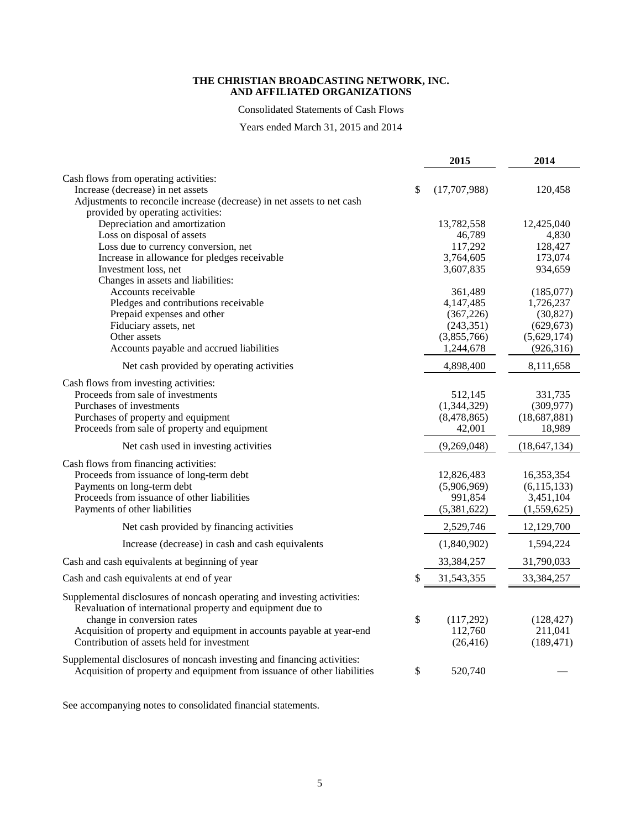Consolidated Statements of Cash Flows

Years ended March 31, 2015 and 2014

|                                                                                                                                                     | 2015                     | 2014                    |
|-----------------------------------------------------------------------------------------------------------------------------------------------------|--------------------------|-------------------------|
| Cash flows from operating activities:                                                                                                               |                          |                         |
| Increase (decrease) in net assets                                                                                                                   | \$<br>(17,707,988)       | 120,458                 |
| Adjustments to reconcile increase (decrease) in net assets to net cash                                                                              |                          |                         |
| provided by operating activities:                                                                                                                   |                          |                         |
| Depreciation and amortization                                                                                                                       | 13,782,558               | 12,425,040              |
| Loss on disposal of assets                                                                                                                          | 46,789                   | 4,830                   |
| Loss due to currency conversion, net                                                                                                                | 117,292                  | 128,427                 |
| Increase in allowance for pledges receivable                                                                                                        | 3,764,605                | 173,074                 |
| Investment loss, net                                                                                                                                | 3,607,835                | 934,659                 |
| Changes in assets and liabilities:                                                                                                                  |                          |                         |
| Accounts receivable                                                                                                                                 | 361,489                  | (185,077)               |
| Pledges and contributions receivable                                                                                                                | 4,147,485                | 1,726,237               |
| Prepaid expenses and other<br>Fiduciary assets, net                                                                                                 | (367, 226)<br>(243, 351) | (30, 827)<br>(629, 673) |
| Other assets                                                                                                                                        | (3,855,766)              | (5,629,174)             |
| Accounts payable and accrued liabilities                                                                                                            | 1,244,678                | (926, 316)              |
| Net cash provided by operating activities                                                                                                           | 4,898,400                | 8,111,658               |
|                                                                                                                                                     |                          |                         |
| Cash flows from investing activities:                                                                                                               |                          |                         |
| Proceeds from sale of investments                                                                                                                   | 512,145                  | 331,735                 |
| Purchases of investments                                                                                                                            | (1,344,329)              | (309, 977)              |
| Purchases of property and equipment                                                                                                                 | (8,478,865)              | (18,687,881)            |
| Proceeds from sale of property and equipment                                                                                                        | 42,001                   | 18,989                  |
| Net cash used in investing activities                                                                                                               | (9,269,048)              | (18, 647, 134)          |
| Cash flows from financing activities:                                                                                                               |                          |                         |
| Proceeds from issuance of long-term debt                                                                                                            | 12,826,483               | 16,353,354              |
| Payments on long-term debt                                                                                                                          | (5,906,969)              | (6, 115, 133)           |
| Proceeds from issuance of other liabilities                                                                                                         | 991,854                  | 3,451,104               |
| Payments of other liabilities                                                                                                                       | (5,381,622)              | (1,559,625)             |
| Net cash provided by financing activities                                                                                                           | 2,529,746                | 12,129,700              |
| Increase (decrease) in cash and cash equivalents                                                                                                    | (1,840,902)              | 1,594,224               |
| Cash and cash equivalents at beginning of year                                                                                                      | 33,384,257               | 31,790,033              |
| Cash and cash equivalents at end of year                                                                                                            | \$<br>31,543,355         | 33,384,257              |
| Supplemental disclosures of noncash operating and investing activities:<br>Revaluation of international property and equipment due to               |                          |                         |
| change in conversion rates                                                                                                                          | \$<br>(117,292)          | (128, 427)              |
| Acquisition of property and equipment in accounts payable at year-end                                                                               | 112,760                  | 211,041                 |
| Contribution of assets held for investment                                                                                                          | (26, 416)                | (189, 471)              |
| Supplemental disclosures of noncash investing and financing activities:<br>Acquisition of property and equipment from issuance of other liabilities | \$<br>520,740            |                         |
|                                                                                                                                                     |                          |                         |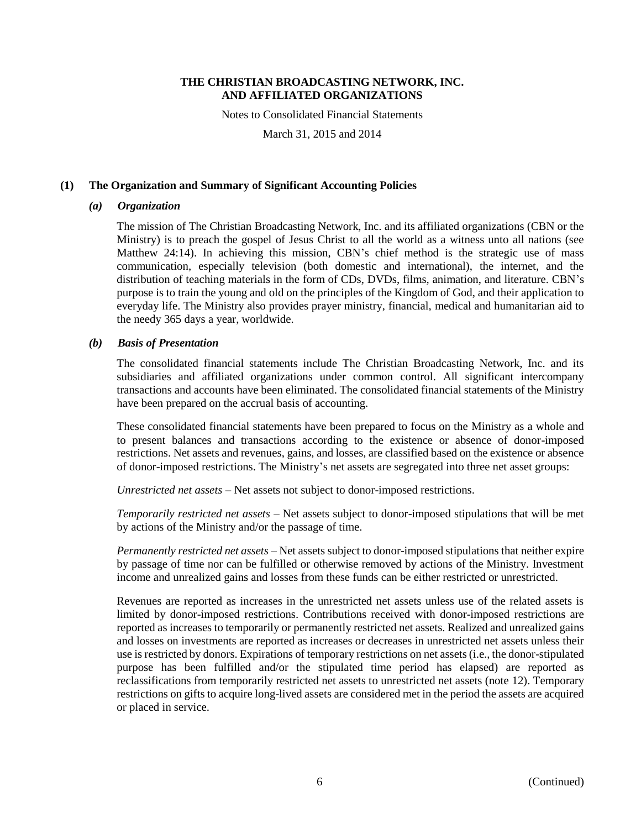Notes to Consolidated Financial Statements

March 31, 2015 and 2014

## **(1) The Organization and Summary of Significant Accounting Policies**

## *(a) Organization*

The mission of The Christian Broadcasting Network, Inc. and its affiliated organizations (CBN or the Ministry) is to preach the gospel of Jesus Christ to all the world as a witness unto all nations (see Matthew 24:14). In achieving this mission, CBN's chief method is the strategic use of mass communication, especially television (both domestic and international), the internet, and the distribution of teaching materials in the form of CDs, DVDs, films, animation, and literature. CBN's purpose is to train the young and old on the principles of the Kingdom of God, and their application to everyday life. The Ministry also provides prayer ministry, financial, medical and humanitarian aid to the needy 365 days a year, worldwide.

# *(b) Basis of Presentation*

The consolidated financial statements include The Christian Broadcasting Network, Inc. and its subsidiaries and affiliated organizations under common control. All significant intercompany transactions and accounts have been eliminated. The consolidated financial statements of the Ministry have been prepared on the accrual basis of accounting.

These consolidated financial statements have been prepared to focus on the Ministry as a whole and to present balances and transactions according to the existence or absence of donor-imposed restrictions. Net assets and revenues, gains, and losses, are classified based on the existence or absence of donor-imposed restrictions. The Ministry's net assets are segregated into three net asset groups:

*Unrestricted net assets* – Net assets not subject to donor-imposed restrictions.

*Temporarily restricted net assets* – Net assets subject to donor-imposed stipulations that will be met by actions of the Ministry and/or the passage of time.

*Permanently restricted net assets* – Net assets subject to donor-imposed stipulations that neither expire by passage of time nor can be fulfilled or otherwise removed by actions of the Ministry. Investment income and unrealized gains and losses from these funds can be either restricted or unrestricted.

Revenues are reported as increases in the unrestricted net assets unless use of the related assets is limited by donor-imposed restrictions. Contributions received with donor-imposed restrictions are reported as increases to temporarily or permanently restricted net assets. Realized and unrealized gains and losses on investments are reported as increases or decreases in unrestricted net assets unless their use is restricted by donors. Expirations of temporary restrictions on net assets (i.e., the donor-stipulated purpose has been fulfilled and/or the stipulated time period has elapsed) are reported as reclassifications from temporarily restricted net assets to unrestricted net assets (note 12). Temporary restrictions on gifts to acquire long-lived assets are considered met in the period the assets are acquired or placed in service.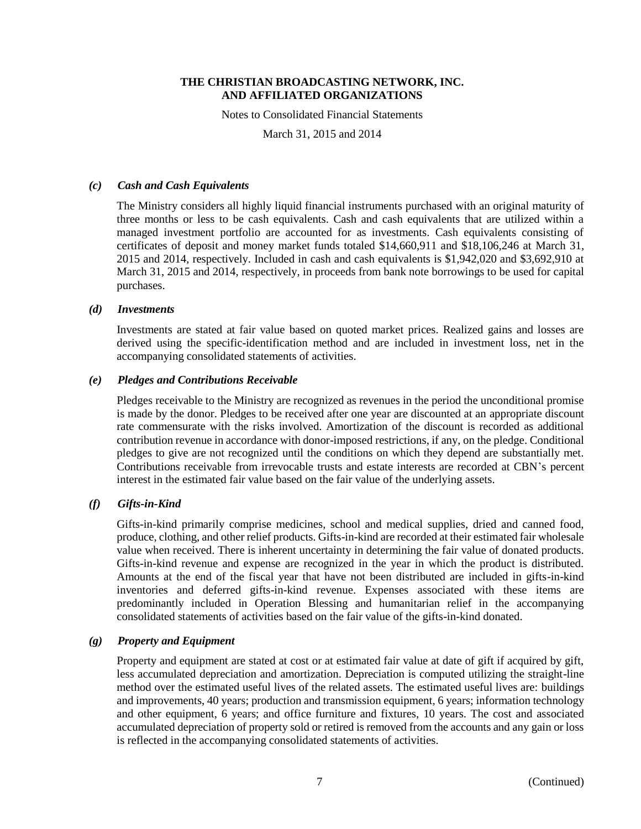Notes to Consolidated Financial Statements

March 31, 2015 and 2014

## *(c) Cash and Cash Equivalents*

The Ministry considers all highly liquid financial instruments purchased with an original maturity of three months or less to be cash equivalents. Cash and cash equivalents that are utilized within a managed investment portfolio are accounted for as investments. Cash equivalents consisting of certificates of deposit and money market funds totaled \$14,660,911 and \$18,106,246 at March 31, 2015 and 2014, respectively. Included in cash and cash equivalents is \$1,942,020 and \$3,692,910 at March 31, 2015 and 2014, respectively, in proceeds from bank note borrowings to be used for capital purchases.

# *(d) Investments*

Investments are stated at fair value based on quoted market prices. Realized gains and losses are derived using the specific-identification method and are included in investment loss, net in the accompanying consolidated statements of activities.

# *(e) Pledges and Contributions Receivable*

Pledges receivable to the Ministry are recognized as revenues in the period the unconditional promise is made by the donor. Pledges to be received after one year are discounted at an appropriate discount rate commensurate with the risks involved. Amortization of the discount is recorded as additional contribution revenue in accordance with donor-imposed restrictions, if any, on the pledge. Conditional pledges to give are not recognized until the conditions on which they depend are substantially met. Contributions receivable from irrevocable trusts and estate interests are recorded at CBN's percent interest in the estimated fair value based on the fair value of the underlying assets.

# *(f) Gifts-in-Kind*

Gifts-in-kind primarily comprise medicines, school and medical supplies, dried and canned food, produce, clothing, and other relief products. Gifts-in-kind are recorded at their estimated fair wholesale value when received. There is inherent uncertainty in determining the fair value of donated products. Gifts-in-kind revenue and expense are recognized in the year in which the product is distributed. Amounts at the end of the fiscal year that have not been distributed are included in gifts-in-kind inventories and deferred gifts-in-kind revenue. Expenses associated with these items are predominantly included in Operation Blessing and humanitarian relief in the accompanying consolidated statements of activities based on the fair value of the gifts-in-kind donated.

## *(g) Property and Equipment*

Property and equipment are stated at cost or at estimated fair value at date of gift if acquired by gift, less accumulated depreciation and amortization. Depreciation is computed utilizing the straight-line method over the estimated useful lives of the related assets. The estimated useful lives are: buildings and improvements, 40 years; production and transmission equipment, 6 years; information technology and other equipment, 6 years; and office furniture and fixtures, 10 years. The cost and associated accumulated depreciation of property sold or retired is removed from the accounts and any gain or loss is reflected in the accompanying consolidated statements of activities.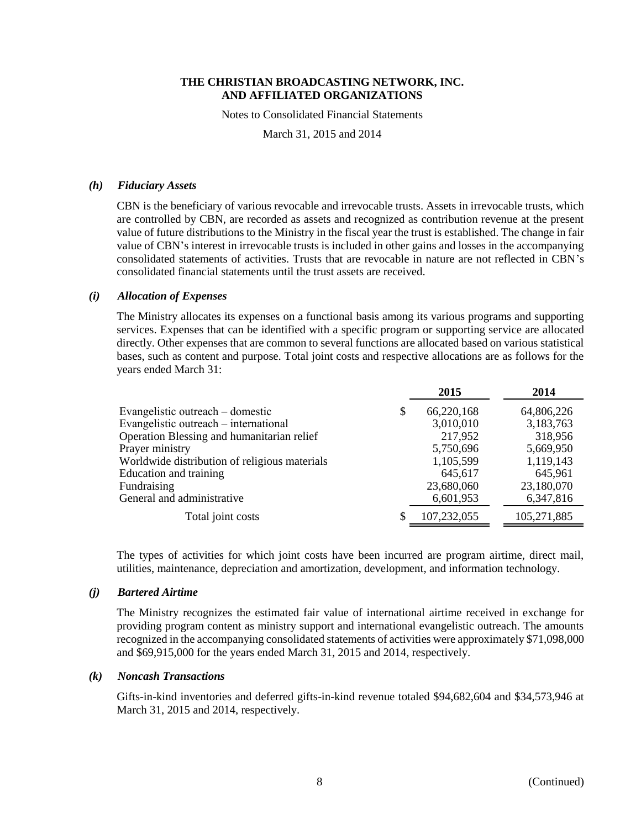Notes to Consolidated Financial Statements

March 31, 2015 and 2014

#### *(h) Fiduciary Assets*

CBN is the beneficiary of various revocable and irrevocable trusts. Assets in irrevocable trusts, which are controlled by CBN, are recorded as assets and recognized as contribution revenue at the present value of future distributions to the Ministry in the fiscal year the trust is established. The change in fair value of CBN's interest in irrevocable trusts is included in other gains and losses in the accompanying consolidated statements of activities. Trusts that are revocable in nature are not reflected in CBN's consolidated financial statements until the trust assets are received.

#### *(i) Allocation of Expenses*

The Ministry allocates its expenses on a functional basis among its various programs and supporting services. Expenses that can be identified with a specific program or supporting service are allocated directly. Other expenses that are common to several functions are allocated based on various statistical bases, such as content and purpose. Total joint costs and respective allocations are as follows for the years ended March 31:

|                                               | 2015              | 2014        |
|-----------------------------------------------|-------------------|-------------|
| Evangelistic outreach – domestic              | 66,220,168<br>\$  | 64,806,226  |
| Evangelistic outreach – international         | 3,010,010         | 3,183,763   |
| Operation Blessing and humanitarian relief    | 217,952           | 318,956     |
| Prayer ministry                               | 5,750,696         | 5,669,950   |
| Worldwide distribution of religious materials | 1,105,599         | 1,119,143   |
| Education and training                        | 645,617           | 645,961     |
| Fundraising                                   | 23,680,060        | 23,180,070  |
| General and administrative                    | 6,601,953         | 6,347,816   |
| Total joint costs                             | 107,232,055<br>\$ | 105,271,885 |

The types of activities for which joint costs have been incurred are program airtime, direct mail, utilities, maintenance, depreciation and amortization, development, and information technology.

#### *(j) Bartered Airtime*

The Ministry recognizes the estimated fair value of international airtime received in exchange for providing program content as ministry support and international evangelistic outreach. The amounts recognized in the accompanying consolidated statements of activities were approximately \$71,098,000 and \$69,915,000 for the years ended March 31, 2015 and 2014, respectively.

#### *(k) Noncash Transactions*

Gifts-in-kind inventories and deferred gifts-in-kind revenue totaled \$94,682,604 and \$34,573,946 at March 31, 2015 and 2014, respectively.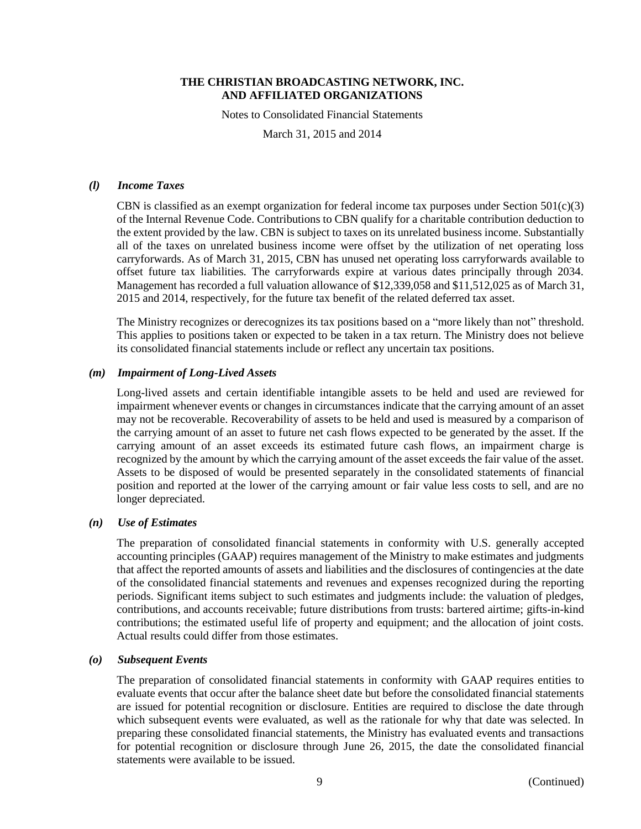Notes to Consolidated Financial Statements

March 31, 2015 and 2014

## *(l) Income Taxes*

CBN is classified as an exempt organization for federal income tax purposes under Section  $501(c)(3)$ of the Internal Revenue Code. Contributions to CBN qualify for a charitable contribution deduction to the extent provided by the law. CBN is subject to taxes on its unrelated business income. Substantially all of the taxes on unrelated business income were offset by the utilization of net operating loss carryforwards. As of March 31, 2015, CBN has unused net operating loss carryforwards available to offset future tax liabilities. The carryforwards expire at various dates principally through 2034. Management has recorded a full valuation allowance of \$12,339,058 and \$11,512,025 as of March 31, 2015 and 2014, respectively, for the future tax benefit of the related deferred tax asset.

The Ministry recognizes or derecognizes its tax positions based on a "more likely than not" threshold. This applies to positions taken or expected to be taken in a tax return. The Ministry does not believe its consolidated financial statements include or reflect any uncertain tax positions.

#### *(m) Impairment of Long-Lived Assets*

Long-lived assets and certain identifiable intangible assets to be held and used are reviewed for impairment whenever events or changes in circumstances indicate that the carrying amount of an asset may not be recoverable. Recoverability of assets to be held and used is measured by a comparison of the carrying amount of an asset to future net cash flows expected to be generated by the asset. If the carrying amount of an asset exceeds its estimated future cash flows, an impairment charge is recognized by the amount by which the carrying amount of the asset exceeds the fair value of the asset. Assets to be disposed of would be presented separately in the consolidated statements of financial position and reported at the lower of the carrying amount or fair value less costs to sell, and are no longer depreciated.

## *(n) Use of Estimates*

The preparation of consolidated financial statements in conformity with U.S. generally accepted accounting principles (GAAP) requires management of the Ministry to make estimates and judgments that affect the reported amounts of assets and liabilities and the disclosures of contingencies at the date of the consolidated financial statements and revenues and expenses recognized during the reporting periods. Significant items subject to such estimates and judgments include: the valuation of pledges, contributions, and accounts receivable; future distributions from trusts: bartered airtime; gifts-in-kind contributions; the estimated useful life of property and equipment; and the allocation of joint costs. Actual results could differ from those estimates.

#### *(o) Subsequent Events*

The preparation of consolidated financial statements in conformity with GAAP requires entities to evaluate events that occur after the balance sheet date but before the consolidated financial statements are issued for potential recognition or disclosure. Entities are required to disclose the date through which subsequent events were evaluated, as well as the rationale for why that date was selected. In preparing these consolidated financial statements, the Ministry has evaluated events and transactions for potential recognition or disclosure through June 26, 2015, the date the consolidated financial statements were available to be issued.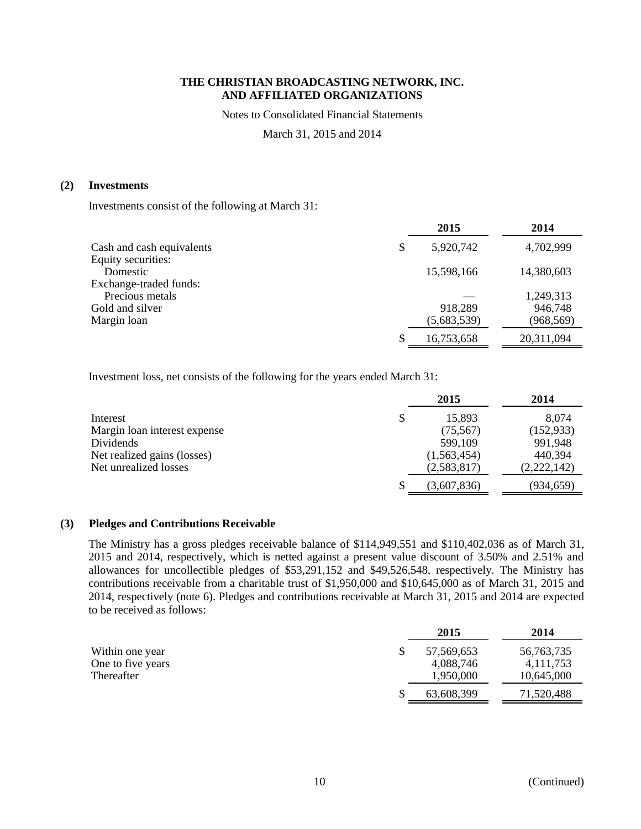Notes to Consolidated Financial Statements

March 31, 2015 and 2014

# **(2) Investments**

Investments consist of the following at March 31:

|                           | 2015            | 2014       |
|---------------------------|-----------------|------------|
| Cash and cash equivalents | \$<br>5,920,742 | 4,702,999  |
| Equity securities:        |                 |            |
| Domestic                  | 15,598,166      | 14,380,603 |
| Exchange-traded funds:    |                 |            |
| Precious metals           |                 | 1,249,313  |
| Gold and silver           | 918,289         | 946,748    |
| Margin loan               | (5,683,539)     | (968, 569) |
|                           | 16,753,658      | 20,311,094 |

Investment loss, net consists of the following for the years ended March 31:

|                              | 2015        | 2014        |
|------------------------------|-------------|-------------|
| Interest                     | 15,893      | 8,074       |
| Margin loan interest expense | (75, 567)   | (152, 933)  |
| Dividends                    | 599,109     | 991,948     |
| Net realized gains (losses)  | (1,563,454) | 440,394     |
| Net unrealized losses        | (2,583,817) | (2,222,142) |
|                              | (3,607,836) | (934,659)   |

# **(3) Pledges and Contributions Receivable**

The Ministry has a gross pledges receivable balance of \$114,949,551 and \$110,402,036 as of March 31, 2015 and 2014, respectively, which is netted against a present value discount of 3.50% and 2.51% and allowances for uncollectible pledges of \$53,291,152 and \$49,526,548, respectively. The Ministry has contributions receivable from a charitable trust of \$1,950,000 and \$10,645,000 as of March 31, 2015 and 2014, respectively (note 6). Pledges and contributions receivable at March 31, 2015 and 2014 are expected to be received as follows:

|                   | 2015       | 2014         |
|-------------------|------------|--------------|
| Within one year   | 57,569,653 | 56, 763, 735 |
| One to five years | 4,088,746  | 4, 111, 753  |
| Thereafter        | 1,950,000  | 10,645,000   |
|                   | 63,608,399 | 71,520,488   |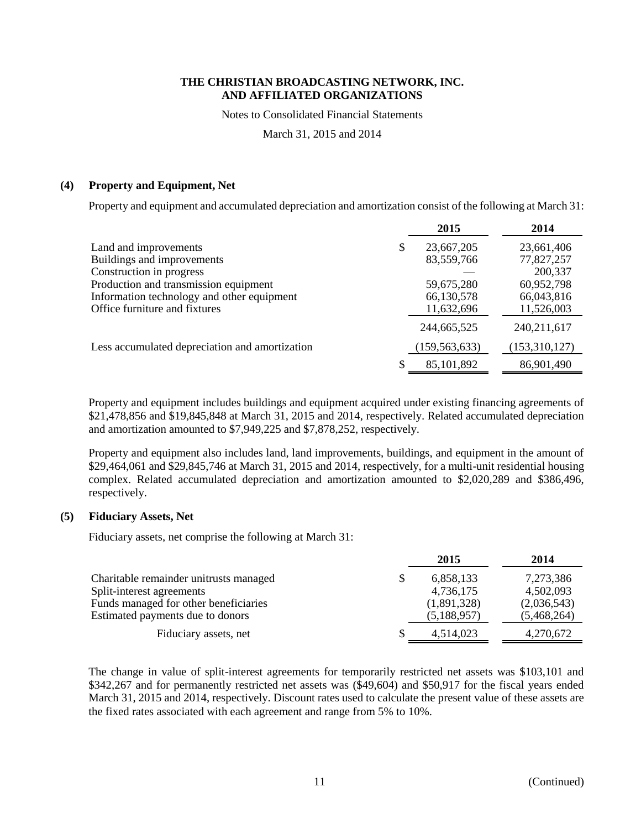Notes to Consolidated Financial Statements

March 31, 2015 and 2014

## **(4) Property and Equipment, Net**

Property and equipment and accumulated depreciation and amortization consist of the following at March 31:

|                                                |   | 2015            | 2014          |
|------------------------------------------------|---|-----------------|---------------|
| Land and improvements                          | S | 23,667,205      | 23,661,406    |
| Buildings and improvements                     |   | 83,559,766      | 77,827,257    |
| Construction in progress                       |   |                 | 200,337       |
| Production and transmission equipment          |   | 59,675,280      | 60,952,798    |
| Information technology and other equipment     |   | 66,130,578      | 66,043,816    |
| Office furniture and fixtures                  |   | 11,632,696      | 11,526,003    |
|                                                |   | 244,665,525     | 240, 211, 617 |
| Less accumulated depreciation and amortization |   | (159, 563, 633) | (153,310,127) |
|                                                |   | 85,101,892      | 86,901,490    |

Property and equipment includes buildings and equipment acquired under existing financing agreements of \$21,478,856 and \$19,845,848 at March 31, 2015 and 2014, respectively. Related accumulated depreciation and amortization amounted to \$7,949,225 and \$7,878,252, respectively.

Property and equipment also includes land, land improvements, buildings, and equipment in the amount of \$29,464,061 and \$29,845,746 at March 31, 2015 and 2014, respectively, for a multi-unit residential housing complex. Related accumulated depreciation and amortization amounted to \$2,020,289 and \$386,496, respectively.

## **(5) Fiduciary Assets, Net**

Fiduciary assets, net comprise the following at March 31:

|                                        | 2015        | 2014        |
|----------------------------------------|-------------|-------------|
| Charitable remainder unitrusts managed | 6,858,133   | 7,273,386   |
| Split-interest agreements              | 4,736,175   | 4,502,093   |
| Funds managed for other beneficiaries  | (1,891,328) | (2,036,543) |
| Estimated payments due to donors       | (5,188,957) | (5,468,264) |
| Fiduciary assets, net                  | 4,514,023   | 4,270,672   |

The change in value of split-interest agreements for temporarily restricted net assets was \$103,101 and \$342,267 and for permanently restricted net assets was (\$49,604) and \$50,917 for the fiscal years ended March 31, 2015 and 2014, respectively. Discount rates used to calculate the present value of these assets are the fixed rates associated with each agreement and range from 5% to 10%.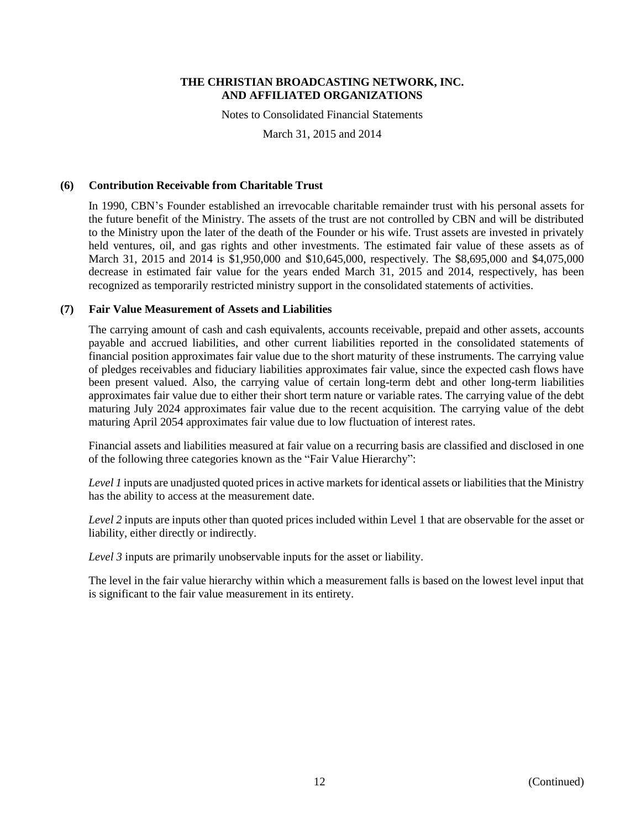Notes to Consolidated Financial Statements

March 31, 2015 and 2014

## **(6) Contribution Receivable from Charitable Trust**

In 1990, CBN's Founder established an irrevocable charitable remainder trust with his personal assets for the future benefit of the Ministry. The assets of the trust are not controlled by CBN and will be distributed to the Ministry upon the later of the death of the Founder or his wife. Trust assets are invested in privately held ventures, oil, and gas rights and other investments. The estimated fair value of these assets as of March 31, 2015 and 2014 is \$1,950,000 and \$10,645,000, respectively. The \$8,695,000 and \$4,075,000 decrease in estimated fair value for the years ended March 31, 2015 and 2014, respectively, has been recognized as temporarily restricted ministry support in the consolidated statements of activities.

## **(7) Fair Value Measurement of Assets and Liabilities**

The carrying amount of cash and cash equivalents, accounts receivable, prepaid and other assets, accounts payable and accrued liabilities, and other current liabilities reported in the consolidated statements of financial position approximates fair value due to the short maturity of these instruments. The carrying value of pledges receivables and fiduciary liabilities approximates fair value, since the expected cash flows have been present valued. Also, the carrying value of certain long-term debt and other long-term liabilities approximates fair value due to either their short term nature or variable rates. The carrying value of the debt maturing July 2024 approximates fair value due to the recent acquisition. The carrying value of the debt maturing April 2054 approximates fair value due to low fluctuation of interest rates.

Financial assets and liabilities measured at fair value on a recurring basis are classified and disclosed in one of the following three categories known as the "Fair Value Hierarchy":

*Level 1* inputs are unadjusted quoted prices in active markets for identical assets or liabilities that the Ministry has the ability to access at the measurement date.

*Level 2* inputs are inputs other than quoted prices included within Level 1 that are observable for the asset or liability, either directly or indirectly.

*Level 3* inputs are primarily unobservable inputs for the asset or liability.

The level in the fair value hierarchy within which a measurement falls is based on the lowest level input that is significant to the fair value measurement in its entirety.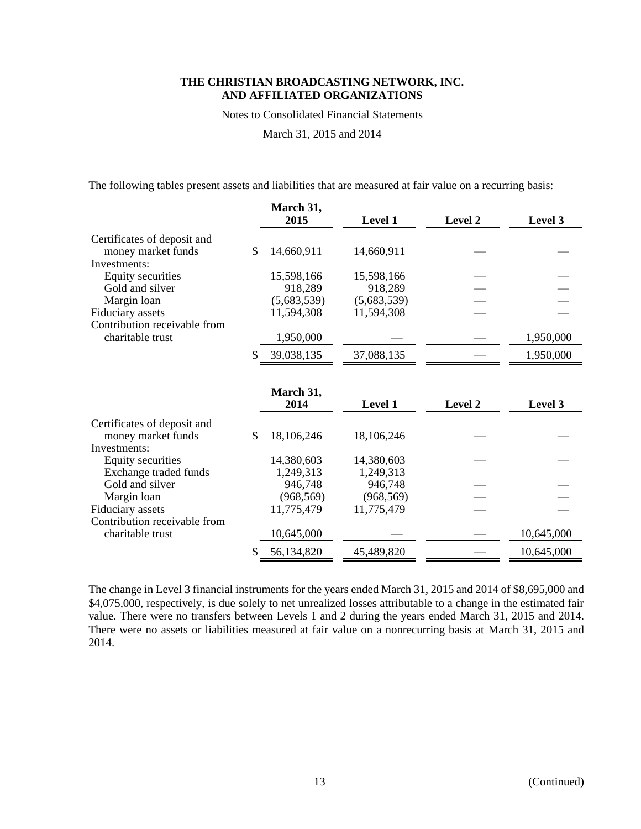Notes to Consolidated Financial Statements

March 31, 2015 and 2014

The following tables present assets and liabilities that are measured at fair value on a recurring basis:

|                              | March 31,<br>2015 | Level 1     | Level 2        | Level 3    |
|------------------------------|-------------------|-------------|----------------|------------|
| Certificates of deposit and  |                   |             |                |            |
| money market funds           | \$<br>14,660,911  | 14,660,911  |                |            |
| Investments:                 |                   |             |                |            |
| <b>Equity securities</b>     | 15,598,166        | 15,598,166  |                |            |
| Gold and silver              | 918,289           | 918,289     |                |            |
| Margin loan                  | (5,683,539)       | (5,683,539) |                |            |
| Fiduciary assets             | 11,594,308        | 11,594,308  |                |            |
| Contribution receivable from |                   |             |                |            |
| charitable trust             | 1,950,000         |             |                | 1,950,000  |
|                              | 39,038,135        | 37,088,135  |                | 1,950,000  |
|                              |                   |             |                |            |
|                              | March 31,         |             |                |            |
|                              | 2014              | Level 1     | <b>Level 2</b> | Level 3    |
| Certificates of deposit and  |                   |             |                |            |
| money market funds           | \$<br>18,106,246  | 18,106,246  |                |            |
| Investments:                 |                   |             |                |            |
| Equity securities            | 14,380,603        | 14,380,603  |                |            |
| Exchange traded funds        | 1,249,313         | 1,249,313   |                |            |
| Gold and silver              | 946,748           | 946,748     |                |            |
| Margin loan                  | (968, 569)        | (968, 569)  |                |            |
| Fiduciary assets             | 11,775,479        | 11,775,479  |                |            |
| Contribution receivable from |                   |             |                |            |
| charitable trust             | 10,645,000        |             |                | 10,645,000 |
|                              | \$<br>56,134,820  | 45,489,820  |                | 10,645,000 |

The change in Level 3 financial instruments for the years ended March 31, 2015 and 2014 of \$8,695,000 and \$4,075,000, respectively, is due solely to net unrealized losses attributable to a change in the estimated fair value. There were no transfers between Levels 1 and 2 during the years ended March 31, 2015 and 2014. There were no assets or liabilities measured at fair value on a nonrecurring basis at March 31, 2015 and 2014.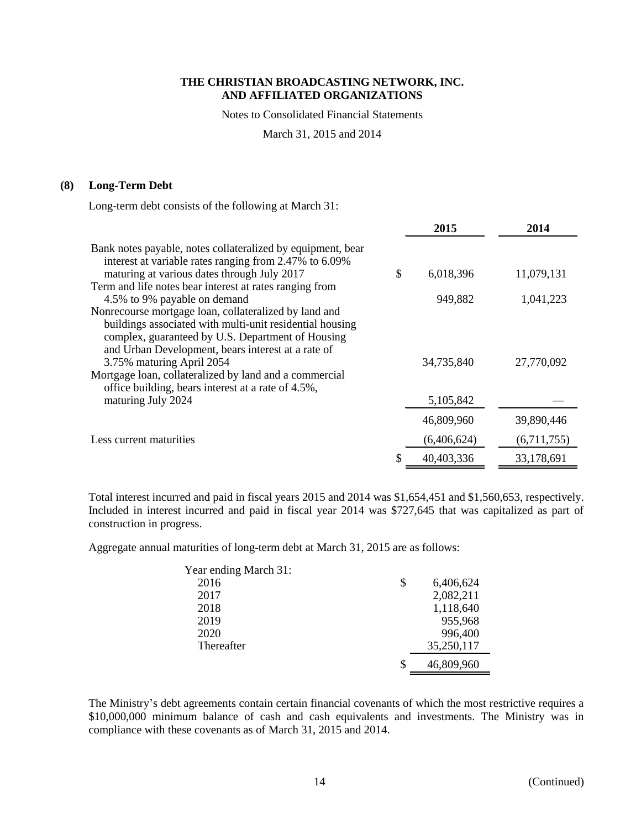Notes to Consolidated Financial Statements

March 31, 2015 and 2014

# **(8) Long-Term Debt**

Long-term debt consists of the following at March 31:

|                                                                                                                                                                                                  | 2015            | 2014        |
|--------------------------------------------------------------------------------------------------------------------------------------------------------------------------------------------------|-----------------|-------------|
| Bank notes payable, notes collateralized by equipment, bear<br>interest at variable rates ranging from 2.47% to 6.09%                                                                            |                 |             |
| maturing at various dates through July 2017<br>Term and life notes bear interest at rates ranging from                                                                                           | \$<br>6,018,396 | 11,079,131  |
| 4.5% to 9% payable on demand<br>Nonrecourse mortgage loan, collateralized by land and                                                                                                            | 949,882         | 1,041,223   |
| buildings associated with multi-unit residential housing<br>complex, guaranteed by U.S. Department of Housing<br>and Urban Development, bears interest at a rate of<br>3.75% maturing April 2054 | 34,735,840      | 27,770,092  |
| Mortgage loan, collateralized by land and a commercial<br>office building, bears interest at a rate of 4.5%,<br>maturing July 2024                                                               | 5,105,842       |             |
|                                                                                                                                                                                                  | 46,809,960      | 39,890,446  |
| Less current maturities                                                                                                                                                                          | (6,406,624)     | (6,711,755) |
|                                                                                                                                                                                                  | 40,403,336      | 33,178,691  |

Total interest incurred and paid in fiscal years 2015 and 2014 was \$1,654,451 and \$1,560,653, respectively. Included in interest incurred and paid in fiscal year 2014 was \$727,645 that was capitalized as part of construction in progress.

Aggregate annual maturities of long-term debt at March 31, 2015 are as follows:

| \$<br>6,406,624  |
|------------------|
| 2,082,211        |
| 1,118,640        |
| 955,968          |
| 996,400          |
| 35,250,117       |
| \$<br>46,809,960 |
|                  |

The Ministry's debt agreements contain certain financial covenants of which the most restrictive requires a \$10,000,000 minimum balance of cash and cash equivalents and investments. The Ministry was in compliance with these covenants as of March 31, 2015 and 2014.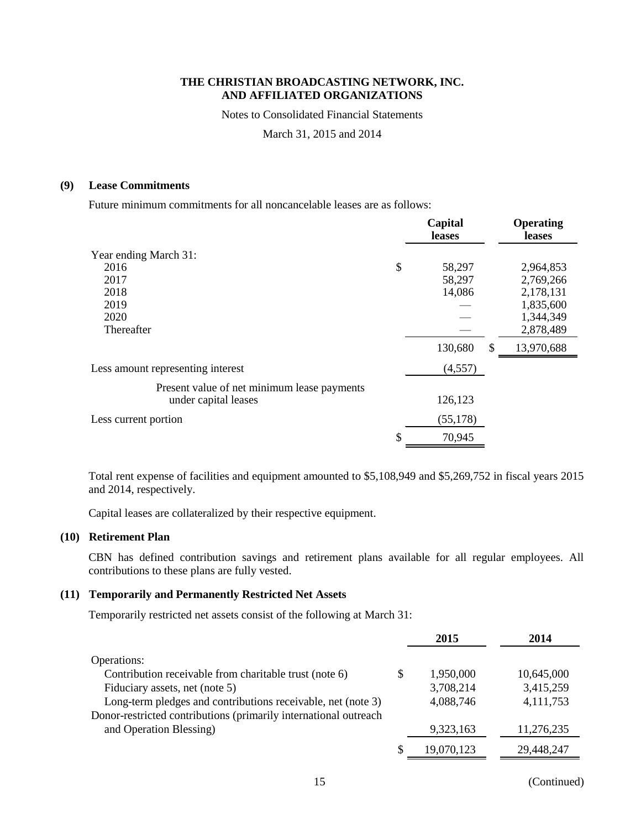Notes to Consolidated Financial Statements

March 31, 2015 and 2014

# **(9) Lease Commitments**

Future minimum commitments for all noncancelable leases are as follows:

|                                             | Capital<br>leases |     | <b>Operating</b><br>leases |
|---------------------------------------------|-------------------|-----|----------------------------|
| Year ending March 31:                       |                   |     |                            |
| 2016                                        | \$<br>58,297      |     | 2,964,853                  |
| 2017                                        | 58,297            |     | 2,769,266                  |
| 2018                                        | 14,086            |     | 2,178,131                  |
| 2019                                        |                   |     | 1,835,600                  |
| 2020                                        |                   |     | 1,344,349                  |
| Thereafter                                  |                   |     | 2,878,489                  |
|                                             | 130,680           | \$. | 13,970,688                 |
| Less amount representing interest           | (4,557)           |     |                            |
| Present value of net minimum lease payments |                   |     |                            |
| under capital leases                        | 126,123           |     |                            |
| Less current portion                        | (55, 178)         |     |                            |
|                                             | \$<br>70,945      |     |                            |

Total rent expense of facilities and equipment amounted to \$5,108,949 and \$5,269,752 in fiscal years 2015 and 2014, respectively.

Capital leases are collateralized by their respective equipment.

## **(10) Retirement Plan**

CBN has defined contribution savings and retirement plans available for all regular employees. All contributions to these plans are fully vested.

# **(11) Temporarily and Permanently Restricted Net Assets**

Temporarily restricted net assets consist of the following at March 31:

|                                                                  | 2015            | 2014       |
|------------------------------------------------------------------|-----------------|------------|
| Operations:                                                      |                 |            |
| Contribution receivable from charitable trust (note 6)           | \$<br>1,950,000 | 10,645,000 |
| Fiduciary assets, net (note 5)                                   | 3,708,214       | 3,415,259  |
| Long-term pledges and contributions receivable, net (note 3)     | 4,088,746       | 4,111,753  |
| Donor-restricted contributions (primarily international outreach |                 |            |
| and Operation Blessing)                                          | 9,323,163       | 11,276,235 |
|                                                                  | 19,070,123      | 29,448,247 |

15 (Continued)